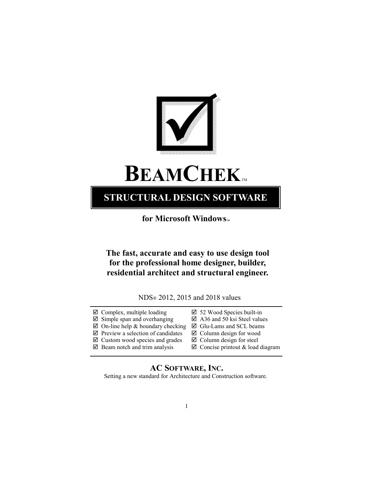

# **BEAMCHEK**

### **STRUCTURAL DESIGN SOFTWARE**

**for Microsoft Windows** 

**The fast, accurate and easy to use design tool for the professional home designer, builder, residential architect and structural engineer.** 

NDS® 2012, 2015 and 2018 values

- $\boxtimes$  Complex, multiple loading  $\boxtimes$  52 Wood Species built-in
- $\boxtimes$  Simple span and overhanging  $\boxtimes$  A36 and 50 ksi Steel values
- $\boxtimes$  On-line help & boundary checking  $\boxtimes$  Glu-Lams and SCL beams
- $\boxtimes$  Preview a selection of candidates  $\boxtimes$  Column design for wood
- $\boxtimes$  Custom wood species and grades  $\boxtimes$  Column design for steel
- 
- 
- 
- 
- 
- 
- $\boxtimes$  Beam notch and trim analysis  $\boxtimes$  Concise printout & load diagram

#### **AC SOFTWARE, INC.**

Setting a new standard for Architecture and Construction software.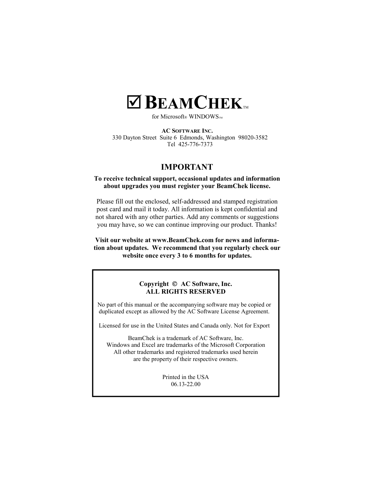## $\blacksquare$ **BEAMCHEK**

for Microsoft® WINDOWS<sub>TM</sub>

**AC SOFTWARE INC.** 330 Dayton Street Suite 6 Edmonds, Washington 98020-3582 Tel 425-776-7373

#### **IMPORTANT**

#### **To receive technical support, occasional updates and information about upgrades you must register your BeamChek license.**

Please fill out the enclosed, self-addressed and stamped registration post card and mail it today. All information is kept confidential and not shared with any other parties. Add any comments or suggestions you may have, so we can continue improving our product. Thanks!

**Visit our website at www.BeamChek.com for news and information about updates. We recommend that you regularly check our website once every 3 to 6 months for updates.**

#### **Copyright AC Software, Inc. ALL RIGHTS RESERVED**

No part of this manual or the accompanying software may be copied or duplicated except as allowed by the AC Software License Agreement.

Licensed for use in the United States and Canada only. Not for Export

BeamChek is a trademark of AC Software, Inc. Windows and Excel are trademarks of the Microsoft Corporation All other trademarks and registered trademarks used herein are the property of their respective owners.

> Printed in the USA 06.13-22.00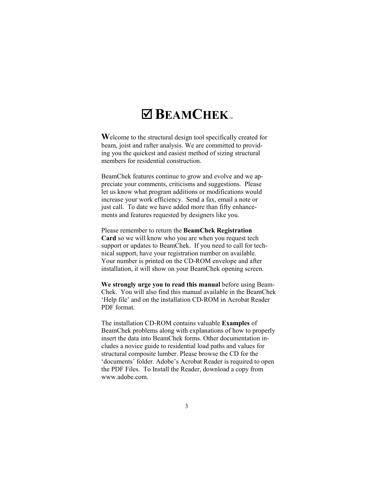## $\times$  **BEAMCHEK**

**W**elcome to the structural design tool specifically created for beam, joist and rafter analysis. We are committed to providing you the quickest and easiest method of sizing structural members for residential construction.

BeamChek features continue to grow and evolve and we appreciate your comments, criticisms and suggestions. Please let us know what program additions or modifications would increase your work efficiency. Send a fax, email a note or just call. To date we have added more than fifty enhancements and features requested by designers like you.

Please remember to return the **BeamChek Registration Card** so we will know who you are when you request tech support or updates to BeamChek. If you need to call for technical support, have your registration number on available. Your number is printed on the CD-ROM envelope and after installation, it will show on your BeamChek opening screen.

**We strongly urge you to read this manual** before using Beam-Chek. You will also find this manual available in the BeamChek 'Help file' and on the installation CD-ROM in Acrobat Reader PDF format.

The installation CD-ROM contains valuable **Examples** of BeamChek problems along with explanations of how to properly insert the data into BeamChek forms. Other documentation includes a novice guide to residential load paths and values for structural composite lumber. Please browse the CD for the 'documents' folder. Adobe's Acrobat Reader is required to open the PDF Files. To Install the Reader, download a copy from www.adobe.com.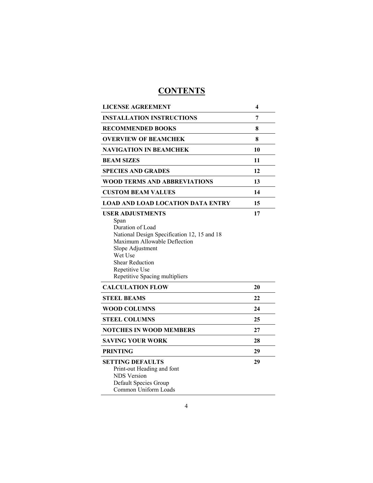## **CONTENTS**

| <b>LICENSE AGREEMENT</b>                                                                                                                                                                                                                        | 4  |
|-------------------------------------------------------------------------------------------------------------------------------------------------------------------------------------------------------------------------------------------------|----|
| <b>INSTALLATION INSTRUCTIONS</b>                                                                                                                                                                                                                | 7  |
| <b>RECOMMENDED BOOKS</b>                                                                                                                                                                                                                        | 8  |
| <b>OVERVIEW OF BEAMCHEK</b>                                                                                                                                                                                                                     | 8  |
| NAVIGATION IN BEAMCHEK                                                                                                                                                                                                                          | 10 |
| <b>BEAM SIZES</b>                                                                                                                                                                                                                               | 11 |
| <b>SPECIES AND GRADES</b>                                                                                                                                                                                                                       | 12 |
| WOOD TERMS AND ABBREVIATIONS                                                                                                                                                                                                                    | 13 |
| <b>CUSTOM BEAM VALUES</b>                                                                                                                                                                                                                       | 14 |
| <b>LOAD AND LOAD LOCATION DATA ENTRY</b>                                                                                                                                                                                                        | 15 |
| <b>USER ADJUSTMENTS</b><br>Span<br>Duration of Load<br>National Design Specification 12, 15 and 18<br>Maximum Allowable Deflection<br>Slope Adjustment<br>Wet Use<br><b>Shear Reduction</b><br>Repetitive Use<br>Repetitive Spacing multipliers | 17 |
| <b>CALCULATION FLOW</b>                                                                                                                                                                                                                         | 20 |
| <b>STEEL BEAMS</b>                                                                                                                                                                                                                              | 22 |
| <b>WOOD COLUMNS</b>                                                                                                                                                                                                                             | 24 |
| <b>STEEL COLUMNS</b>                                                                                                                                                                                                                            | 25 |
| <b>NOTCHES IN WOOD MEMBERS</b>                                                                                                                                                                                                                  | 27 |
| SAVING YOUR WORK                                                                                                                                                                                                                                | 28 |
| <b>PRINTING</b>                                                                                                                                                                                                                                 | 29 |
| <b>SETTING DEFAULTS</b><br>Print-out Heading and font<br><b>NDS</b> Version<br>Default Species Group<br>Common Uniform Loads                                                                                                                    | 29 |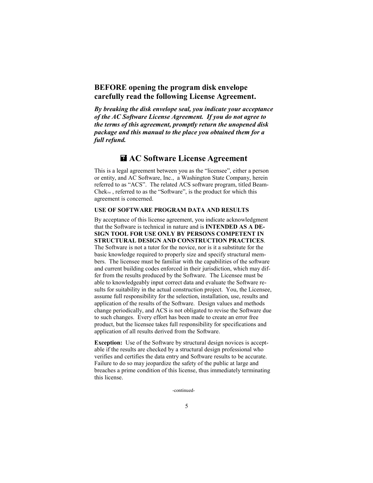#### **BEFORE opening the program disk envelope carefully read the following License Agreement.**

*By breaking the disk envelope seal, you indicate your acceptance of the AC Software License Agreement. If you do not agree to the terms of this agreement, promptly return the unopened disk package and this manual to the place you obtained them for a full refund.* 

#### **AC Software License Agreement**

This is a legal agreement between you as the "licensee", either a person or entity, and AC Software, Inc., a Washington State Company, herein referred to as "ACS". The related ACS software program, titled Beam- $Chek<sub>m</sub>$ , referred to as the "Software", is the product for which this agreement is concerned.

#### **USE OF SOFTWARE PROGRAM DATA AND RESULTS**

By acceptance of this license agreement, you indicate acknowledgment that the Software is technical in nature and is **INTENDED AS A DE-SIGN TOOL FOR USE ONLY BY PERSONS COMPETENT IN STRUCTURAL DESIGN AND CONSTRUCTION PRACTICES**. The Software is not a tutor for the novice, nor is it a substitute for the basic knowledge required to properly size and specify structural members. The licensee must be familiar with the capabilities of the software and current building codes enforced in their jurisdiction, which may differ from the results produced by the Software. The Licensee must be able to knowledgeably input correct data and evaluate the Software results for suitability in the actual construction project. You, the Licensee, assume full responsibility for the selection, installation, use, results and application of the results of the Software. Design values and methods change periodically, and ACS is not obligated to revise the Software due to such changes. Every effort has been made to create an error free product, but the licensee takes full responsibility for specifications and application of all results derived from the Software.

**Exception:** Use of the Software by structural design novices is acceptable if the results are checked by a structural design professional who verifies and certifies the data entry and Software results to be accurate. Failure to do so may jeopardize the safety of the public at large and breaches a prime condition of this license, thus immediately terminating this license.

-continued-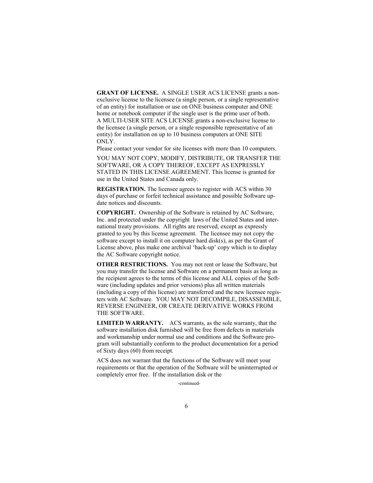**GRANT OF LICENSE.** A SINGLE USER ACS LICENSE grants a nonexclusive license to the licensee (a single person, or a single representative of an entity) for installation or use on ONE business computer and ONE home or notebook computer if the single user is the prime user of both. A MULTI-USER SITE ACS LICENSE grants a non-exclusive license to the licensee (a single person, or a single responsible representative of an entity) for installation on up to 10 business computers at ONE SITE ONLY.

Please contact your vendor for site licenses with more than 10 computers.

YOU MAY NOT COPY, MODIFY, DISTRIBUTE, OR TRANSFER THE SOFTWARE, OR A COPY THEREOF, EXCEPT AS EXPRESSLY STATED IN THIS LICENSE AGREEMENT. This license is granted for use in the United States and Canada only.

**REGISTRATION.** The licensee agrees to register with ACS within 30 days of purchase or forfeit technical assistance and possible Software update notices and discounts.

**COPYRIGHT.** Ownership of the Software is retained by AC Software, Inc. and protected under the copyright laws of the United States and international treaty provisions. All rights are reserved, except as expressly granted to you by this license agreement. The licensee may not copy the software except to install it on computer hard disk(s), as per the Grant of License above, plus make one archival 'back-up' copy which is to display the AC Software copyright notice.

**OTHER RESTRICTIONS.** You may not rent or lease the Software, but you may transfer the license and Software on a permanent basis as long as the recipient agrees to the terms of this license and ALL copies of the Software (including updates and prior versions) plus all written materials (including a copy of this license) are transferred and the new licensee registers with AC Software. YOU MAY NOT DECOMPILE, DISASSEMBLE, REVERSE ENGINEER, OR CREATE DERIVATIVE WORKS FROM THE SOFTWARE.

**LIMITED WARRANTY.** ACS warrants, as the sole warranty, that the software installation disk furnished will be free from defects in materials and workmanship under normal use and conditions and the Software program will substantially conform to the product documentation for a period of Sixty days (60) from receipt.

ACS does not warrant that the functions of the Software will meet your requirements or that the operation of the Software will be uninterrupted or completely error free. If the installation disk or the

-continued-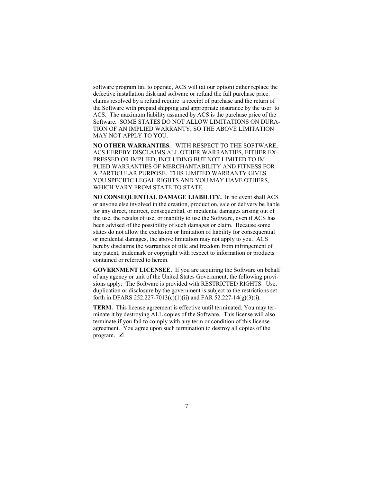software program fail to operate, ACS will (at our option) either replace the defective installation disk and software or refund the full purchase price. claims resolved by a refund require a receipt of purchase and the return of the Software with prepaid shipping and appropriate insurance by the user to ACS. The maximum liability assumed by ACS is the purchase price of the Software. SOME STATES DO NOT ALLOW LIMITATIONS ON DURA-TION OF AN IMPLIED WARRANTY, SO THE ABOVE LIMITATION MAY NOT APPLY TO YOU.

**NO OTHER WARRANTIES.** WITH RESPECT TO THE SOFTWARE, ACS HEREBY DISCLAIMS ALL OTHER WARRANTIES, EITHER EX-PRESSED OR IMPLIED, INCLUDING BUT NOT LIMITED TO IM-PLIED WARRANTIES OF MERCHANTABILITY AND FITNESS FOR A PARTICULAR PURPOSE. THIS LIMITED WARRANTY GIVES YOU SPECIFIC LEGAL RIGHTS AND YOU MAY HAVE OTHERS, WHICH VARY FROM STATE TO STATE.

**NO CONSEQUENTIAL DAMAGE LIABILITY.** In no event shall ACS or anyone else involved in the creation, production, sale or delivery be liable for any direct, indirect, consequential, or incidental damages arising out of the use, the results of use, or inability to use the Software, even if ACS has been advised of the possibility of such damages or claim. Because some states do not allow the exclusion or limitation of liability for consequential or incidental damages, the above limitation may not apply to you. ACS hereby disclaims the warranties of title and freedom from infringement of any patent, trademark or copyright with respect to information or products contained or referred to herein.

**GOVERNMENT LICENSEE.** If you are acquiring the Software on behalf of any agency or unit of the United States Government, the following provisions apply: The Software is provided with RESTRICTED RIGHTS. Use, duplication or disclosure by the government is subject to the restrictions set forth in DFARS 252.227-7013(c)(1)(ii) and FAR 52.227-14(g)(3)(i).

**TERM.** This license agreement is effective until terminated. You may terminate it by destroying ALL copies of the Software. This license will also terminate if you fail to comply with any term or condition of this license agreement. You agree upon such termination to destroy all copies of the program.  $\boxtimes$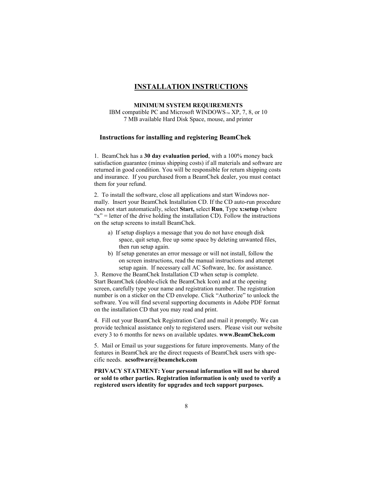#### **INSTALLATION INSTRUCTIONS**

#### **MINIMUM SYSTEM REQUIREMENTS**

IBM compatible PC and Microsoft WINDOWS  $M \times N$ , 7, 8, or 10 7 MB available Hard Disk Space, mouse, and printer

#### **Instructions for installing and registering BeamChek**

1. BeamChek has a **30 day evaluation period**, with a 100% money back satisfaction guarantee (minus shipping costs) if all materials and software are returned in good condition. You will be responsible for return shipping costs and insurance. If you purchased from a BeamChek dealer, you must contact them for your refund.

2. To install the software, close all applications and start Windows normally. Insert your BeamChek Installation CD. If the CD auto-run procedure does not start automatically, select **Start,** select **Run**, Type **x:setup** (where " $x$ " = letter of the drive holding the installation CD). Follow the instructions on the setup screens to install BeamChek.

- a) If setup displays a message that you do not have enough disk space, quit setup, free up some space by deleting unwanted files, then run setup again.
- b) If setup generates an error message or will not install, follow the on screen instructions, read the manual instructions and attempt setup again. If necessary call AC Software, Inc. for assistance.

3. Remove the BeamChek Installation CD when setup is complete. Start BeamChek (double-click the BeamChek Icon) and at the opening screen, carefully type your name and registration number. The registration number is on a sticker on the CD envelope. Click "Authorize" to unlock the software. You will find several supporting documents in Adobe PDF format on the installation CD that you may read and print.

4. Fill out your BeamChek Registration Card and mail it promptly. We can provide technical assistance only to registered users. Please visit our website every 3 to 6 months for news on available updates. **www.BeamChek.com**

5. Mail or Email us your suggestions for future improvements. Many of the features in BeamChek are the direct requests of BeamChek users with specific needs. **acsoftware@beamchek.com**

**PRIVACY STATMENT: Your personal information will not be shared or sold to other parties. Registration information is only used to verify a registered users identity for upgrades and tech support purposes.**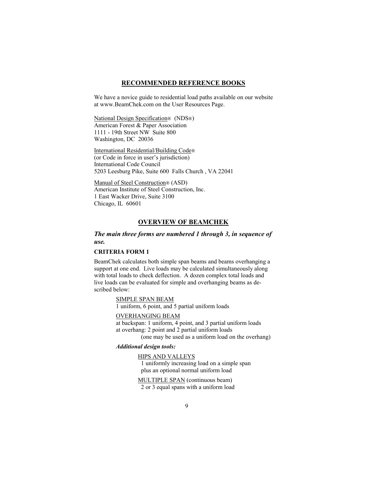#### **RECOMMENDED REFERENCE BOOKS**

We have a novice guide to residential load paths available on our website at www.BeamChek.com on the User Resources Page.

National Design Specification® (NDS®) American Forest & Paper Association 1111 - 19th Street NW Suite 800 Washington, DC 20036

International Residential/Building Code® (or Code in force in user's jurisdiction) International Code Council 5203 Leesburg Pike, Suite 600 Falls Church , VA 22041

Manual of Steel Construction® (ASD) American Institute of Steel Construction, Inc. 1 East Wacker Drive, Suite 3100 Chicago, IL 60601

#### **OVERVIEW OF BEAMCHEK**

#### *The main three forms are numbered 1 through 3, in sequence of use.*

#### **CRITERIA FORM 1**

BeamChek calculates both simple span beams and beams overhanging a support at one end. Live loads may be calculated simultaneously along with total loads to check deflection. A dozen complex total loads and live loads can be evaluated for simple and overhanging beams as described below:

SIMPLE SPAN BEAM

1 uniform, 6 point, and 5 partial uniform loads

#### OVERHANGING BEAM

 at backspan: 1 uniform, 4 point, and 3 partial uniform loads at overhang: 2 point and 2 partial uniform loads

(one may be used as a uniform load on the overhang)

#### *Additional design tools:*

 HIPS AND VALLEYS 1 uniformly increasing load on a simple span plus an optional normal uniform load

 MULTIPLE SPAN (continuous beam) 2 or 3 equal spans with a uniform load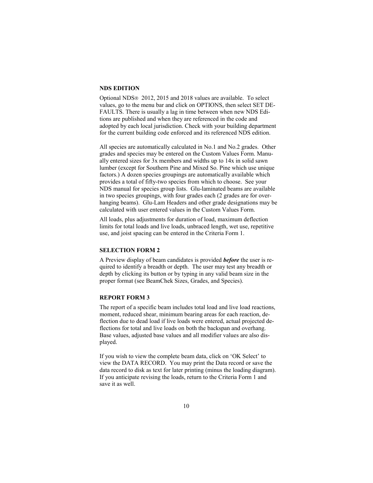#### **NDS EDITION**

Optional NDS<sup>®</sup> 2012, 2015 and 2018 values are available. To select values, go to the menu bar and click on OPTIONS, then select SET DE-FAULTS. There is usually a lag in time between when new NDS Editions are published and when they are referenced in the code and adopted by each local jurisdiction. Check with your building department for the current building code enforced and its referenced NDS edition.

All species are automatically calculated in No.1 and No.2 grades. Other grades and species may be entered on the Custom Values Form. Manually entered sizes for 3x members and widths up to 14x in solid sawn lumber (except for Southern Pine and Mixed So. Pine which use unique factors.) A dozen species groupings are automatically available which provides a total of fifty-two species from which to choose. See your NDS manual for species group lists. Glu-laminated beams are available in two species groupings, with four grades each (2 grades are for overhanging beams). Glu-Lam Headers and other grade designations may be calculated with user entered values in the Custom Values Form.

All loads, plus adjustments for duration of load, maximum deflection limits for total loads and live loads, unbraced length, wet use, repetitive use, and joist spacing can be entered in the Criteria Form 1.

#### **SELECTION FORM 2**

A Preview display of beam candidates is provided *before* the user is required to identify a breadth or depth. The user may test any breadth or depth by clicking its button or by typing in any valid beam size in the proper format (see BeamChek Sizes, Grades, and Species).

#### **REPORT FORM 3**

The report of a specific beam includes total load and live load reactions, moment, reduced shear, minimum bearing areas for each reaction, deflection due to dead load if live loads were entered, actual projected deflections for total and live loads on both the backspan and overhang. Base values, adjusted base values and all modifier values are also displayed.

If you wish to view the complete beam data, click on 'OK Select' to view the DATA RECORD. You may print the Data record or save the data record to disk as text for later printing (minus the loading diagram). If you anticipate revising the loads, return to the Criteria Form 1 and save it as well.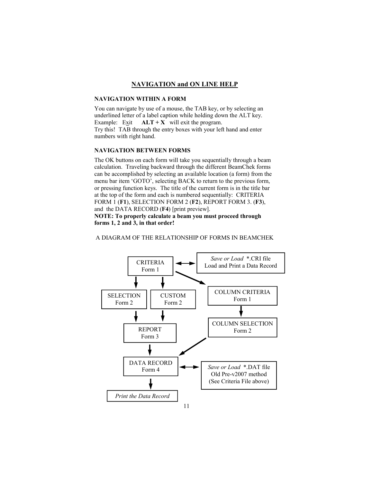#### **NAVIGATION and ON LINE HELP**

#### **NAVIGATION WITHIN A FORM**

You can navigate by use of a mouse, the TAB key, or by selecting an underlined letter of a label caption while holding down the ALT key. Example: Exit  $ALT + X$  will exit the program. Try this! TAB through the entry boxes with your left hand and enter numbers with right hand.

#### **NAVIGATION BETWEEN FORMS**

The OK buttons on each form will take you sequentially through a beam calculation. Traveling backward through the different BeamChek forms can be accomplished by selecting an available location (a form) from the menu bar item 'GOTO', selecting BACK to return to the previous form, or pressing function keys. The title of the current form is in the title bar at the top of the form and each is numbered sequentially: CRITERIA FORM 1 (**F1**), SELECTION FORM 2 (**F2**), REPORT FORM 3. (**F3**), and the DATA RECORD (**F4**) [print preview]. **NOTE: To properly calculate a beam you must proceed through** 

**forms 1, 2 and 3, in that order!** 



A DIAGRAM OF THE RELATIONSHIP OF FORMS IN BEAMCHEK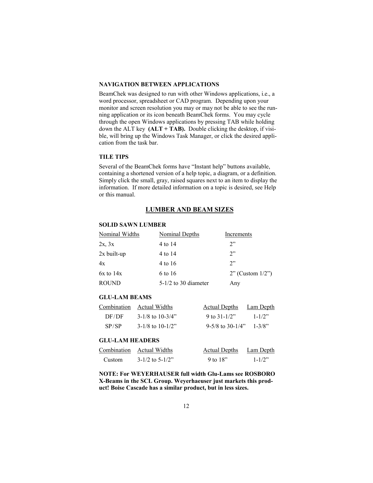#### **NAVIGATION BETWEEN APPLICATIONS**

BeamChek was designed to run with other Windows applications, i.e., a word processor, spreadsheet or CAD program. Depending upon your monitor and screen resolution you may or may not be able to see the running application or its icon beneath BeamChek forms. You may cycle through the open Windows applications by pressing TAB while holding down the ALT key **(ALT + TAB).** Double clicking the desktop, if visible, will bring up the Windows Task Manager, or click the desired application from the task bar.

#### **TILE TIPS**

Several of the BeamChek forms have "Instant help" buttons available, containing a shortened version of a help topic, a diagram, or a definition. Simply click the small, gray, raised squares next to an item to display the information. If more detailed information on a topic is desired, see Help or this manual.

#### **LUMBER AND BEAM SIZES**

#### **SOLID SAWN LUMBER**

| Nominal Widths | Nominal Depths         | Increments            |
|----------------|------------------------|-----------------------|
| 2x, 3x         | 4 to 14                | 2"                    |
| $2x$ built-up  | 4 to 14                | 2"                    |
| 4x             | 4 to 16                | 2"                    |
| $6x$ to $14x$  | 6 to 16                | $2"$ (Custom $1/2"$ ) |
| <b>ROUND</b>   | $5-1/2$ to 30 diameter | Any                   |

#### **GLU-LAM BEAMS**

|       | Combination Actual Widths | <b>Actual Depths</b> | <b>Lam Depth</b>       |
|-------|---------------------------|----------------------|------------------------|
| DF/DF | $3-1/8$ to $10-3/4$ "     | 9 to $31-1/2"$       | $1 - 1/2$ <sup>2</sup> |
| SP/SP | $3-1/8$ to $10-1/2$ "     | $9-5/8$ to 30-1/4"   | $1 - 3/8$ "            |

#### **GLU-LAM HEADERS**

|        | Combination Actual Widths | Actual Depths | Lam Depth              |
|--------|---------------------------|---------------|------------------------|
| Custom | $3-1/2$ to $5-1/2$ "      | 9 to $18"$    | $1 - 1/2$ <sup>2</sup> |

**NOTE: For WEYERHAUSER full width Glu-Lams see ROSBORO X-Beams in the SCL Group. Weyerhaeuser just markets this product! Boise Cascade has a similar product, but in less sizes.**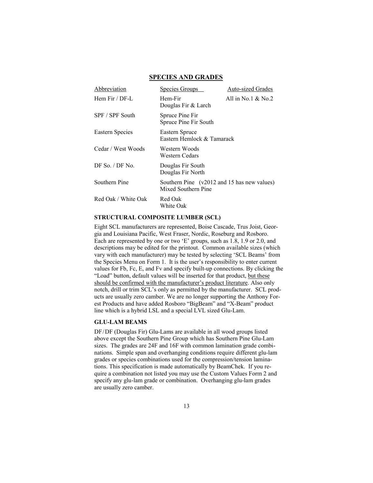| Abbreviation        | Species Groups                                                     | <b>Auto-sized Grades</b> |
|---------------------|--------------------------------------------------------------------|--------------------------|
| Hem Fir $/$ DF-L    | Hem-Fir<br>Douglas Fir & Larch                                     | All in No.1 $\&$ No.2    |
| SPF / SPF South     | Spruce Pine Fir<br>Spruce Pine Fir South                           |                          |
| Eastern Species     | Eastern Spruce<br>Eastern Hemlock & Tamarack                       |                          |
| Cedar / West Woods  | Western Woods<br>Western Cedars                                    |                          |
| DF So. $/$ DF No.   | Douglas Fir South<br>Douglas Fir North                             |                          |
| Southern Pine       | Southern Pine (v2012 and 15 has new values)<br>Mixed Southern Pine |                          |
| Red Oak / White Oak | Red Oak<br>White Oak                                               |                          |

#### **SPECIES AND GRADES**

#### **STRUCTURAL COMPOSITE LUMBER (SCL)**

Eight SCL manufacturers are represented, Boise Cascade, Trus Joist, Georgia and Louisiana Pacific, West Fraser, Nordic, Roseburg and Rosboro. Each are represented by one or two 'E' groups, such as 1.8, 1.9 or 2.0, and descriptions may be edited for the printout. Common available sizes (which vary with each manufacturer) may be tested by selecting 'SCL Beams' from the Species Menu on Form 1. It is the user's responsibility to enter current values for Fb, Fc, E, and Fv and specify built-up connections. By clicking the "Load" button, default values will be inserted for that product, but these should be confirmed with the manufacturer's product literature. Also only notch, drill or trim SCL's only as permitted by the manufacturer. SCL products are usually zero camber. We are no longer supporting the Anthony Forest Products and have added Rosboro "BigBeam" and "X-Beam" product line which is a hybrid LSL and a special LVL sized Glu-Lam.

#### **GLU-LAM BEAMS**

DF/DF (Douglas Fir) Glu-Lams are available in all wood groups listed above except the Southern Pine Group which has Southern Pine Glu-Lam sizes. The grades are 24F and 16F with common lamination grade combinations. Simple span and overhanging conditions require different glu-lam grades or species combinations used for the compression/tension laminations. This specification is made automatically by BeamChek. If you require a combination not listed you may use the Custom Values Form 2 and specify any glu-lam grade or combination. Overhanging glu-lam grades are usually zero camber.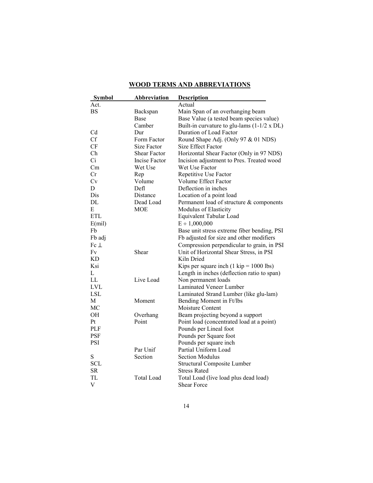| <b>Symbol</b> | <b>Abbreviation</b> | <b>Description</b>                                        |
|---------------|---------------------|-----------------------------------------------------------|
| Act.          |                     | Actual                                                    |
| BS            | Backspan            | Main Span of an overhanging beam                          |
|               | Base                | Base Value (a tested beam species value)                  |
|               | Camber              | Built-in curvature to glu-lams $(1-1/2 \times DL)$        |
| Cd            | Dur                 | Duration of Load Factor                                   |
| <b>Cf</b>     | Form Factor         | Round Shape Adj. (Only 97 & 01 NDS)                       |
| CF            | Size Factor         | Size Effect Factor                                        |
| Ch            | <b>Shear Factor</b> | Horizontal Shear Factor (Only in 97 NDS)                  |
| Ci            | Incise Factor       | Incision adjustment to Pres. Treated wood                 |
| Cm            | Wet Use             | Wet Use Factor                                            |
| Cr            | Rep                 | Repetitive Use Factor                                     |
| Cv            | Volume              | Volume Effect Factor                                      |
| D             | Defl                | Deflection in inches                                      |
| Dis           | Distance            | Location of a point load                                  |
| DL            | Dead Load           | Permanent load of structure & components                  |
| E             | <b>MOE</b>          | Modulus of Elasticity                                     |
| <b>ETL</b>    |                     | Equivalent Tabular Load                                   |
| E(mil)        |                     | $E \div 1,000,000$                                        |
| Fb            |                     | Base unit stress extreme fiber bending, PSI               |
| Fb adj        |                     | Fb adjusted for size and other modifiers                  |
| $Fc \perp$    |                     | Compression perpendicular to grain, in PSI                |
| Fv            | Shear               | Unit of Horizontal Shear Stress, in PSI                   |
| KD.           |                     | Kiln Dried                                                |
| Ksi           |                     | Kips per square inch $(1 \text{ kip} = 1000 \text{ lbs})$ |
| L             |                     | Length in inches (deflection ratio to span)               |
| LL            | Live Load           | Non permanent loads                                       |
| <b>LVL</b>    |                     | Laminated Veneer Lumber                                   |
| <b>LSL</b>    |                     | Laminated Strand Lumber (like glu-lam)                    |
| M             | Moment              | Bending Moment in Ft/lbs                                  |
| MC            |                     | Moisture Content                                          |
| OН            | Overhang            | Beam projecting beyond a support                          |
| Pt            | Point               | Point load (concentrated load at a point)                 |
| PLF           |                     | Pounds per Lineal foot                                    |
| <b>PSF</b>    |                     | Pounds per Square foot                                    |
| <b>PSI</b>    |                     | Pounds per square inch                                    |
|               | Par Unif            | Partial Uniform Load                                      |
| ${\bf S}$     | Section             | <b>Section Modulus</b>                                    |
| <b>SCL</b>    |                     | <b>Structural Composite Lumber</b>                        |
| <b>SR</b>     |                     | <b>Stress Rated</b>                                       |
| <b>TL</b>     | <b>Total Load</b>   | Total Load (live load plus dead load)                     |
| V             |                     | <b>Shear Force</b>                                        |

#### **WOOD TERMS AND ABBREVIATIONS**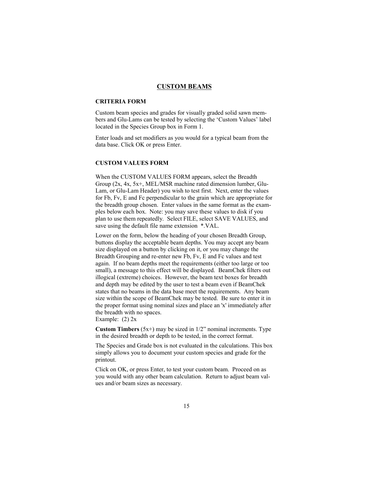#### **CUSTOM BEAMS**

#### **CRITERIA FORM**

Custom beam species and grades for visually graded solid sawn members and Glu-Lams can be tested by selecting the 'Custom Values' label located in the Species Group box in Form 1.

Enter loads and set modifiers as you would for a typical beam from the data base. Click OK or press Enter.

#### **CUSTOM VALUES FORM**

When the CUSTOM VALUES FORM appears, select the Breadth Group (2x, 4x, 5x+, MEL/MSR machine rated dimension lumber, Glu-Lam, or Glu-Lam Header) you wish to test first. Next, enter the values for Fb, Fv, E and Fc perpendicular to the grain which are appropriate for the breadth group chosen. Enter values in the same format as the examples below each box. Note: you may save these values to disk if you plan to use them repeatedly. Select FILE, select SAVE VALUES, and save using the default file name extension \*.VAL.

Lower on the form, below the heading of your chosen Breadth Group, buttons display the acceptable beam depths. You may accept any beam size displayed on a button by clicking on it, or you may change the Breadth Grouping and re-enter new Fb, Fv, E and Fc values and test again. If no beam depths meet the requirements (either too large or too small), a message to this effect will be displayed. BeamChek filters out illogical (extreme) choices. However, the beam text boxes for breadth and depth may be edited by the user to test a beam even if BeamChek states that no beams in the data base meet the requirements. Any beam size within the scope of BeamChek may be tested. Be sure to enter it in the proper format using nominal sizes and place an 'x' immediately after the breadth with no spaces.

Example: (2) 2x

**Custom Timbers**  $(5x+)$  may be sized in  $1/2$ " nominal increments. Type in the desired breadth or depth to be tested, in the correct format.

The Species and Grade box is not evaluated in the calculations. This box simply allows you to document your custom species and grade for the printout.

Click on OK, or press Enter, to test your custom beam. Proceed on as you would with any other beam calculation. Return to adjust beam values and/or beam sizes as necessary.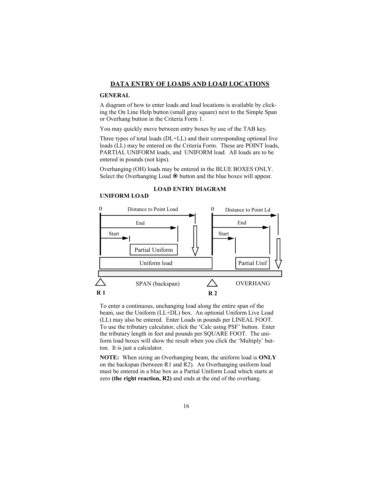#### **DATA ENTRY OF LOADS AND LOAD LOCATIONS**

#### **GENERAL**

**UNIFORM LOAD** 

A diagram of how to enter loads and load locations is available by clicking the On Line Help button (small gray square) next to the Simple Span or Overhang button in the Criteria Form 1.

You may quickly move between entry boxes by use of the TAB key.

Three types of total loads (DL+LL) and their corresponding optional live loads (LL) may be entered on the Criteria Form. These are POINT loads, PARTIAL UNIFORM loads, and UNIFORM load. All loads are to be entered in pounds (not kips).

Overhanging (OH) loads may be entered in the BLUE BOXES ONLY. Select the Overhanging Load  $\odot$  button and the blue boxes will appear.



**LOAD ENTRY DIAGRAM**

To enter a continuous, unchanging load along the entire span of the beam, use the Uniform (LL+DL) box. An optional Uniform Live Load (LL) may also be entered. Enter Loads in pounds per LINEAL FOOT. To use the tributary calculator, click the 'Calc using PSF' button. Enter the tributary length in feet and pounds per SQUARE FOOT. The uniform load boxes will show the result when you click the 'Multiply' button. It is just a calculator.

**NOTE:** When sizing an Overhanging beam, the uniform load is **ONLY** on the backspan (between R1 and R2). An Overhanging uniform load must be entered in a blue box as a Partial Uniform Load which starts at zero **(the right reaction, R2)** and ends at the end of the overhang.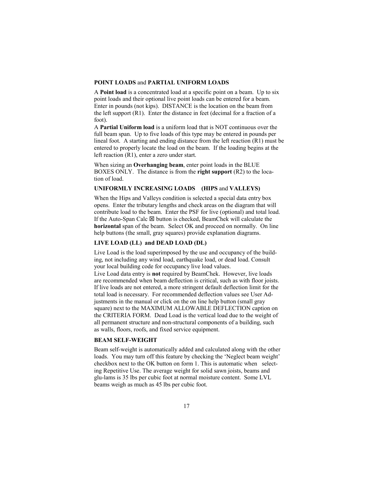#### **POINT LOADS** and **PARTIAL UNIFORM LOADS**

A **Point load** is a concentrated load at a specific point on a beam. Up to six point loads and their optional live point loads can be entered for a beam. Enter in pounds (not kips). DISTANCE is the location on the beam from the left support (R1). Enter the distance in feet (decimal for a fraction of a foot).

A **Partial Uniform load** is a uniform load that is NOT continuous over the full beam span. Up to five loads of this type may be entered in pounds per lineal foot. A starting and ending distance from the left reaction (R1) must be entered to properly locate the load on the beam. If the loading begins at the left reaction (R1), enter a zero under start.

When sizing an **Overhanging beam**, enter point loads in the BLUE BOXES ONLY. The distance is from the **right support** (R2) to the location of load.

#### **UNIFORMLY INCREASING LOADS (HIPS** and **VALLEYS)**

When the Hips and Valleys condition is selected a special data entry box opens. Enter the tributary lengths and check areas on the diagram that will contribute load to the beam. Enter the PSF for live (optional) and total load. If the Auto-Span Calc  $\boxtimes$  button is checked, BeamChek will calculate the **horizontal** span of the beam. Select OK and proceed on normally. On line help buttons (the small, gray squares) provide explanation diagrams.

#### **LIVE LOAD (LL) and DEAD LOAD (DL)**

Live Load is the load superimposed by the use and occupancy of the building, not including any wind load, earthquake load, or dead load. Consult your local building code for occupancy live load values.

Live Load data entry is **not** required by BeamChek. However, live loads are recommended when beam deflection is critical, such as with floor joists. If live loads are not entered, a more stringent default deflection limit for the total load is necessary. For recommended deflection values see User Adjustments in the manual or click on the on line help button (small gray square) next to the MAXIMUM ALLOWABLE DEFLECTION caption on the CRITERIA FORM. Dead Load is the vertical load due to the weight of all permanent structure and non-structural components of a building, such as walls, floors, roofs, and fixed service equipment.

#### **BEAM SELF-WEIGHT**

Beam self-weight is automatically added and calculated along with the other loads. You may turn off this feature by checking the 'Neglect beam weight' checkbox next to the OK button on form 1. This is automatic when selecting Repetitive Use. The average weight for solid sawn joists, beams and glu-lams is 35 lbs per cubic foot at normal moisture content. Some LVL beams weigh as much as 45 lbs per cubic foot.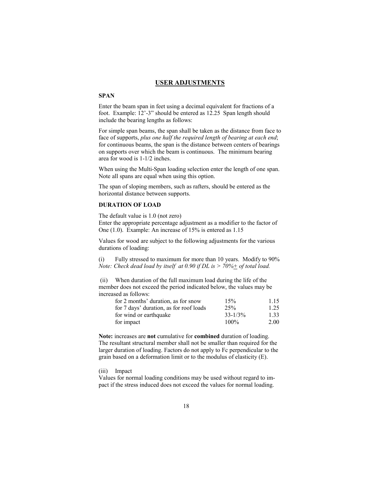#### **USER ADJUSTMENTS**

#### **SPAN**

Enter the beam span in feet using a decimal equivalent for fractions of a foot. Example: 12'-3" should be entered as 12.25 Span length should include the bearing lengths as follows:

For simple span beams, the span shall be taken as the distance from face to face of supports, *plus one half the required length of bearing at each end*; for continuous beams, the span is the distance between centers of bearings on supports over which the beam is continuous. The minimum bearing area for wood is 1-1/2 inches.

When using the Multi-Span loading selection enter the length of one span. Note all spans are equal when using this option.

The span of sloping members, such as rafters, should be entered as the horizontal distance between supports.

#### **DURATION OF LOAD**

The default value is 1.0 (not zero)

Enter the appropriate percentage adjustment as a modifier to the factor of One (1.0). Example: An increase of 15% is entered as 1.15

Values for wood are subject to the following adjustments for the various durations of loading:

(i) Fully stressed to maximum for more than 10 years. Modify to 90% *Note: Check dead load by itself at 0.90 if DL is > 70%+ of total load.*

 (ii) When duration of the full maximum load during the life of the member does not exceed the period indicated below, the values may be increased as follows:

| for 2 months' duration, as for snow     | 15%          | 1.15 |
|-----------------------------------------|--------------|------|
| for 7 days' duration, as for roof loads | 25%          | 1.25 |
| for wind or earthquake                  | $33 - 1/3\%$ | 1.33 |
| for impact                              | $100\%$      | 2.00 |

**Note:** increases are **not** cumulative for **combined** duration of loading. The resultant structural member shall not be smaller than required for the larger duration of loading. Factors do not apply to Fc perpendicular to the grain based on a deformation limit or to the modulus of elasticity (E).

(iii) Impact

Values for normal loading conditions may be used without regard to impact if the stress induced does not exceed the values for normal loading.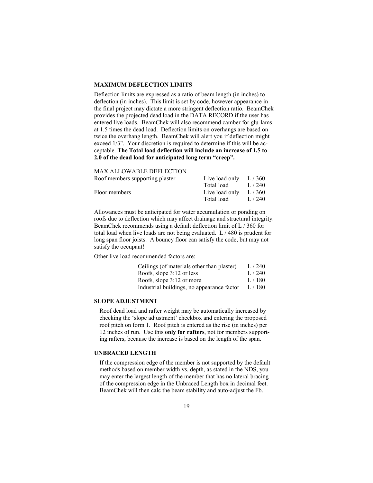#### **MAXIMUM DEFLECTION LIMITS**

Deflection limits are expressed as a ratio of beam length (in inches) to deflection (in inches). This limit is set by code, however appearance in the final project may dictate a more stringent deflection ratio. BeamChek provides the projected dead load in the DATA RECORD if the user has entered live loads. BeamChek will also recommend camber for glu-lams at 1.5 times the dead load. Deflection limits on overhangs are based on twice the overhang length. BeamChek will alert you if deflection might exceed 1/3". Your discretion is required to determine if this will be acceptable. **The Total load deflection will include an increase of 1.5 to 2.0 of the dead load for anticipated long term "creep".** 

#### MAX ALLOWABLE DEFLECTION

| Live load only | L/360 |
|----------------|-------|
| Total load     | L/240 |
| Live load only | L/360 |
| Total load     | L/240 |
|                |       |

Allowances must be anticipated for water accumulation or ponding on roofs due to deflection which may affect drainage and structural integrity. BeamChek recommends using a default deflection limit of L / 360 for total load when live loads are not being evaluated. L / 480 is prudent for long span floor joists. A bouncy floor can satisfy the code, but may not satisfy the occupant!

Other live load recommended factors are:

| Ceilings (of materials other than plaster) | L/240 |
|--------------------------------------------|-------|
| Roofs, slope $3:12$ or less                | L/240 |
| Roofs, slope $3:12$ or more                | L/180 |
| Industrial buildings, no appearance factor | L/180 |

#### **SLOPE ADJUSTMENT**

Roof dead load and rafter weight may be automatically increased by checking the 'slope adjustment' checkbox and entering the proposed roof pitch on form 1. Roof pitch is entered as the rise (in inches) per 12 inches of run. Use this **only for rafters**, not for members supporting rafters, because the increase is based on the length of the span.

#### **UNBRACED LENGTH**

 If the compression edge of the member is not supported by the default methods based on member width vs. depth, as stated in the NDS, you may enter the largest length of the member that has no lateral bracing of the compression edge in the Unbraced Length box in decimal feet. BeamChek will then calc the beam stability and auto-adjust the Fb.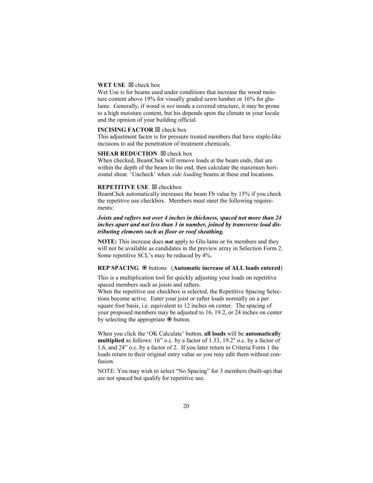#### **WET USE**  $\boxtimes$  check box

Wet Use is for beams used under conditions that increase the wood moisture content above 19% for visually graded sawn lumber or 16% for glulams. Generally, if wood is *not* inside a covered structure, it may be prone to a high moisture content, but his depends upon the climate in your locale and the opinion of your building official.

#### **INCISING FACTOR <b>X** check box

This adjustment factor is for pressure treated members that have staple-like incisions to aid the penetration of treatment chemicals.

#### **SHEAR REDUCTION**  $\boxtimes$  check box

When checked, BeamChek will remove loads at the beam ends, that are within the depth of the beam to the end, then calculate the maximum horizontal shear. 'Uncheck' when *side loading* beams at these end locations.

#### **REPETITIVE USE**  $\boxtimes$  **checkbox**

BeamChek automatically increases the beam Fb value by 15% if you check the repetitive use checkbox. Members must meet the following requirements:

#### *Joists and rafters not over 4 inches in thickness, spaced not more than 24 inches apart and not less than 3 in number, joined by transverse load distributing elements such as floor or roof sheathing.*

**NOTE:** This increase does *not* apply to Glu-lams or 6x members and they will not be available as candidates in the preview array in Selection Form 2. Some repetitive SCL's may be reduced by 4%.

#### **REP SPACING** buttons (**Automatic increase of ALL loads entered**)

This is a multiplication tool for quickly adjusting your loads on repetitive spaced members such as joists and rafters.

When the repetitive use checkbox is selected, the Repetitive Spacing Selections become active. Enter your joist or rafter loads normally on a per square foot basis, i.e. equivalent to 12 inches on center. The spacing of your proposed members may be adjusted to 16, 19.2, or 24 inches on center by selecting the appropriate  $\odot$  button.

When you click the 'OK Calculate' button, **all loads** will be **automatically multiplied** as follows: 16" o.c. by a factor of 1.33, 19.2" o.c. by a factor of 1.6, and 24" o.c. by a factor of 2. If you later return to Criteria Form 1 the loads return to their original entry value so you may edit them without confusion.

NOTE: You may wish to select "No Spacing" for 3 members (built-up) that are not spaced but qualify for repetitive use.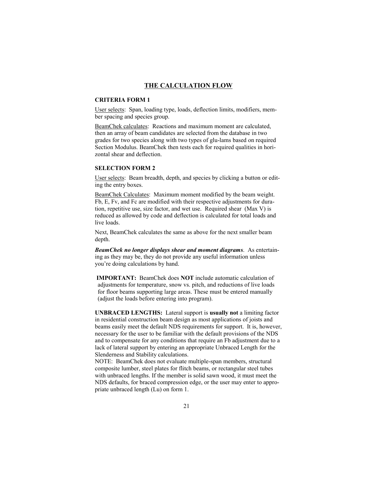#### **THE CALCULATION FLOW**

#### **CRITERIA FORM 1**

User selects: Span, loading type, loads, deflection limits, modifiers, member spacing and species group.

BeamChek calculates: Reactions and maximum moment are calculated, then an array of beam candidates are selected from the database in two grades for two species along with two types of glu-lams based on required Section Modulus. BeamChek then tests each for required qualities in horizontal shear and deflection.

#### **SELECTION FORM 2**

User selects: Beam breadth, depth, and species by clicking a button or editing the entry boxes.

BeamChek Calculates: Maximum moment modified by the beam weight. Fb, E, Fv, and Fc are modified with their respective adjustments for duration, repetitive use, size factor, and wet use. Required shear (Max V) is reduced as allowed by code and deflection is calculated for total loads and live loads.

Next, BeamChek calculates the same as above for the next smaller beam depth.

*BeamChek no longer displays shear and moment diagrams*. As entertaining as they may be, they do not provide any useful information unless you're doing calculations by hand.

 **IMPORTANT:** BeamChek does **NOT** include automatic calculation of adjustments for temperature, snow vs. pitch, and reductions of live loads for floor beams supporting large areas. These must be entered manually (adjust the loads before entering into program).

**UNBRACED LENGTHS:** Lateral support is **usually not** a limiting factor in residential construction beam design as most applications of joists and beams easily meet the default NDS requirements for support. It is, however, necessary for the user to be familiar with the default provisions of the NDS and to compensate for any conditions that require an Fb adjustment due to a lack of lateral support by entering an appropriate Unbraced Length for the Slenderness and Stability calculations.

NOTE: BeamChek does not evaluate multiple-span members, structural composite lumber, steel plates for flitch beams, or rectangular steel tubes with unbraced lengths. If the member is solid sawn wood, it must meet the NDS defaults, for braced compression edge, or the user may enter to appropriate unbraced length (Lu) on form 1.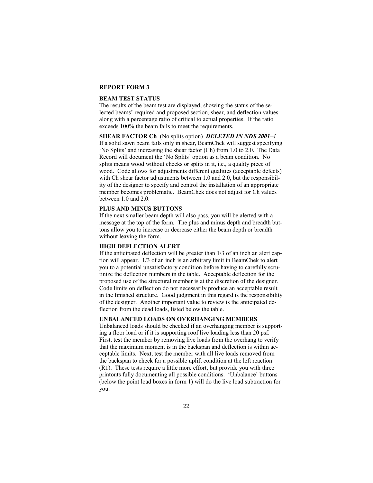#### **REPORT FORM 3**

#### **BEAM TEST STATUS**

The results of the beam test are displayed, showing the status of the selected beams' required and proposed section, shear, and deflection values along with a percentage ratio of critical to actual properties. If the ratio exceeds 100% the beam fails to meet the requirements.

#### **SHEAR FACTOR Ch** (No splits option) *DELETED IN NDS 2001+!*

If a solid sawn beam fails only in shear, BeamChek will suggest specifying 'No Splits' and increasing the shear factor (Ch) from 1.0 to 2.0. The Data Record will document the 'No Splits' option as a beam condition. No splits means wood without checks or splits in it, i.e., a quality piece of wood. Code allows for adjustments different qualities (acceptable defects) with Ch shear factor adjustments between 1.0 and 2.0, but the responsibility of the designer to specify and control the installation of an appropriate member becomes problematic. BeamChek does not adjust for Ch values between 1.0 and 2.0.

#### **PLUS AND MINUS BUTTONS**

If the next smaller beam depth will also pass, you will be alerted with a message at the top of the form. The plus and minus depth and breadth buttons allow you to increase or decrease either the beam depth or breadth without leaving the form.

#### **HIGH DEFLECTION ALERT**

If the anticipated deflection will be greater than 1/3 of an inch an alert caption will appear. 1/3 of an inch is an arbitrary limit in BeamChek to alert you to a potential unsatisfactory condition before having to carefully scrutinize the deflection numbers in the table. Acceptable deflection for the proposed use of the structural member is at the discretion of the designer. Code limits on deflection do not necessarily produce an acceptable result in the finished structure. Good judgment in this regard is the responsibility of the designer. Another important value to review is the anticipated deflection from the dead loads, listed below the table.

#### **UNBALANCED LOADS ON OVERHANGING MEMBERS**

Unbalanced loads should be checked if an overhanging member is supporting a floor load or if it is supporting roof live loading less than 20 psf. First, test the member by removing live loads from the overhang to verify that the maximum moment is in the backspan and deflection is within acceptable limits. Next, test the member with all live loads removed from the backspan to check for a possible uplift condition at the left reaction (R1). These tests require a little more effort, but provide you with three printouts fully documenting all possible conditions. 'Unbalance' buttons (below the point load boxes in form 1) will do the live load subtraction for you.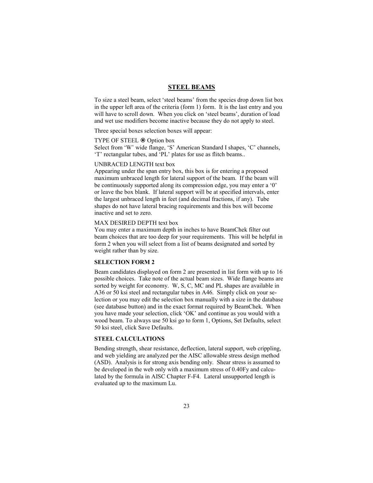#### **STEEL BEAMS**

To size a steel beam, select 'steel beams' from the species drop down list box in the upper left area of the criteria (form 1) form. It is the last entry and you will have to scroll down. When you click on 'steel beams', duration of load and wet use modifiers become inactive because they do not apply to steel.

Three special boxes selection boxes will appear:

#### TYPE OF STEEL  $\odot$  Option box

Select from 'W' wide flange, 'S' American Standard I shapes, 'C' channels, 'T' rectangular tubes, and 'PL' plates for use as flitch beams..

#### UNBRACED LENGTH text box

Appearing under the span entry box, this box is for entering a proposed maximum unbraced length for lateral support of the beam. If the beam will be continuously supported along its compression edge, you may enter a '0' or leave the box blank. If lateral support will be at specified intervals, enter the largest unbraced length in feet (and decimal fractions, if any). Tube shapes do not have lateral bracing requirements and this box will become inactive and set to zero.

#### MAX DESIRED DEPTH text box

You may enter a maximum depth in inches to have BeamChek filter out beam choices that are too deep for your requirements. This will be helpful in form 2 when you will select from a list of beams designated and sorted by weight rather than by size.

#### **SELECTION FORM 2**

Beam candidates displayed on form 2 are presented in list form with up to 16 possible choices. Take note of the actual beam sizes. Wide flange beams are sorted by weight for economy. W, S, C, MC and PL shapes are available in A36 or 50 ksi steel and rectangular tubes in A46. Simply click on your selection or you may edit the selection box manually with a size in the database (see database button) and in the exact format required by BeamChek. When you have made your selection, click 'OK' and continue as you would with a wood beam. To always use 50 ksi go to form 1, Options, Set Defaults, select 50 ksi steel, click Save Defaults.

#### **STEEL CALCULATIONS**

Bending strength, shear resistance, deflection, lateral support, web crippling, and web yielding are analyzed per the AISC allowable stress design method (ASD). Analysis is for strong axis bending only. Shear stress is assumed to be developed in the web only with a maximum stress of 0.40Fy and calculated by the formula in AISC Chapter F-F4. Lateral unsupported length is evaluated up to the maximum Lu.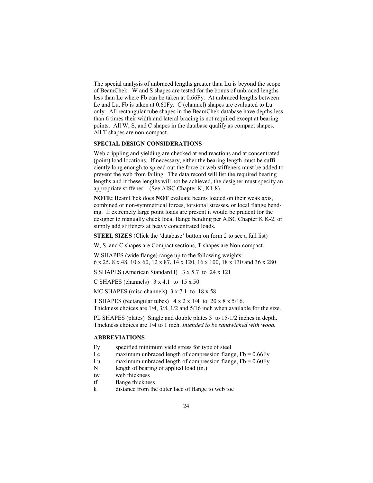The special analysis of unbraced lengths greater than Lu is beyond the scope of BeamChek. W and S shapes are tested for the bonus of unbraced lengths less than Lc where Fb can be taken at 0.66Fy. At unbraced lengths between Lc and Lu, Fb is taken at 0.60Fy. C (channel) shapes are evaluated to Lu only. All rectangular tube shapes in the BeamChek database have depths less than 6 times their width and lateral bracing is not required except at bearing points. All W, S, and C shapes in the database qualify as compact shapes. All T shapes are non-compact.

#### **SPECIAL DESIGN CONSIDERATIONS**

Web crippling and yielding are checked at end reactions and at concentrated (point) load locations. If necessary, either the bearing length must be sufficiently long enough to spread out the force or web stiffeners must be added to prevent the web from failing. The data record will list the required bearing lengths and if these lengths will not be achieved, the designer must specify an appropriate stiffener. (See AISC Chapter K, K1-8)

**NOTE:** BeamChek does **NOT** evaluate beams loaded on their weak axis, combined or non-symmetrical forces, torsional stresses, or local flange bending. If extremely large point loads are present it would be prudent for the designer to manually check local flange bending per AISC Chapter K K-2, or simply add stiffeners at heavy concentrated loads.

**STEEL SIZES** (Click the 'database' button on form 2 to see a full list)

W, S, and C shapes are Compact sections, T shapes are Non-compact.

W SHAPES (wide flange) range up to the following weights: 6 x 25, 8 x 48, 10 x 60, 12 x 87, 14 x 120, 16 x 100, 18 x 130 and 36 x 280

S SHAPES (American Standard I) 3 x 5.7 to 24 x 121

C SHAPES (channels)  $3 \times 4.1$  to  $15 \times 50$ 

MC SHAPES (misc channels)  $3 \times 7.1$  to  $18 \times 58$ 

T SHAPES (rectangular tubes)  $4 \times 2 \times 1/4$  to  $20 \times 8 \times 5/16$ . Thickness choices are 1/4, 3/8, 1/2 and 5/16 inch when available for the size.

PL SHAPES (plates) Single and double plates 3 to 15-1/2 inches in depth. Thickness choices are 1/4 to 1 inch. *Intended to be sandwiched with wood.*

#### **ABBREVIATIONS**

- Fy specified minimum yield stress for type of steel
- Lc maximum unbraced length of compression flange,  $Fb = 0.66Fy$
- Lu maximum unbraced length of compression flange,  $Fb = 0.60$ Fy
- N length of bearing of applied load (in.)
- tw web thickness
- tf flange thickness
- k distance from the outer face of flange to web toe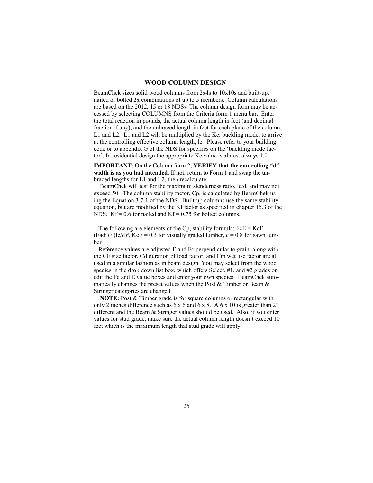#### **WOOD COLUMN DESIGN**

BeamChek sizes solid wood columns from 2x4s to 10x10s and built-up, nailed or bolted 2x combinations of up to 5 members. Column calculations are based on the 2012, 15 or 18 NDS®. The column design form may be accessed by selecting COLUMNS from the Criteria form 1 menu bar. Enter the total reaction in pounds, the actual column length in feet (and decimal fraction if any), and the unbraced length in feet for each plane of the column, L1 and L2. L1 and L2 will be multiplied by the Ke, buckling mode, to arrive at the controlling effective column length, le. Please refer to your building code or to appendix G of the NDS for specifics on the 'buckling mode factor'. In residential design the appropriate Ke value is almost always 1.0.

**IMPORTANT**: On the Column form 2, **VERIFY that the controlling "d" width is as you had intended**. If not, return to Form 1 and swap the unbraced lengths for L1 and L2, then recalculate.

 BeamChek will test for the maximum slenderness ratio, le/d, and may not exceed 50. The column stability factor, Cp, is calculated by BeamChek using the Equation 3.7-1 of the NDS. Built-up columns use the same stability equation, but are modified by the Kf factor as specified in chapter 15.3 of the NDS.  $Kf = 0.6$  for nailed and  $Kf = 0.75$  for bolted columns.

The following are elements of the Cp, stability formula:  $FeE = KcE$  $(Ead) / (le/d)^2$ ,  $KcE = 0.3$  for visually graded lumber,  $c = 0.8$  for sawn lumber

 Reference values are adjusted E and Fc perpendicular to grain, along with the CF size factor, Cd duration of load factor, and Cm wet use factor are all used in a similar fashion as in beam design. You may select from the wood species in the drop down list box, which offers Select, #1, and #2 grades or edit the Fc and E value boxes and enter your own species. BeamChek automatically changes the preset values when the Post  $&$  Timber or Beam  $&$ Stringer categories are changed.

 **NOTE:** Post & Timber grade is for square columns or rectangular with only 2 inches difference such as 6 x 6 and 6 x 8. A 6 x 10 is greater than 2" different and the Beam & Stringer values should be used. Also, if you enter values for stud grade, make sure the actual column length doesn't exceed 10 feet which is the maximum length that stud grade will apply.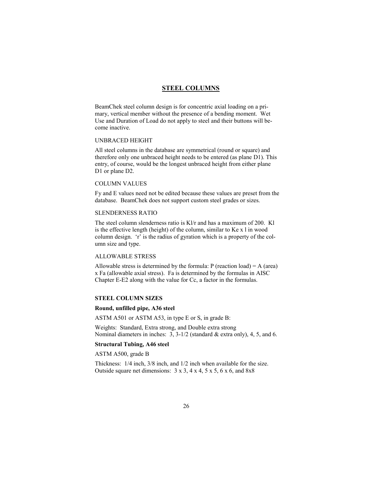#### **STEEL COLUMNS**

BeamChek steel column design is for concentric axial loading on a primary, vertical member without the presence of a bending moment. Wet Use and Duration of Load do not apply to steel and their buttons will become inactive.

#### UNBRACED HEIGHT

All steel columns in the database are symmetrical (round or square) and therefore only one unbraced height needs to be entered (as plane D1). This entry, of course, would be the longest unbraced height from either plane D1 or plane D2.

#### COLUMN VALUES

Fy and E values need not be edited because these values are preset from the database. BeamChek does not support custom steel grades or sizes.

#### SLENDERNESS RATIO

The steel column slenderness ratio is Kl/r and has a maximum of 200. Kl is the effective length (height) of the column, similar to Ke x l in wood column design. 'r' is the radius of gyration which is a property of the column size and type.

#### ALLOWABLE STRESS

Allowable stress is determined by the formula:  $P$  (reaction load) = A (area) x Fa (allowable axial stress). Fa is determined by the formulas in AISC Chapter E-E2 along with the value for Cc, a factor in the formulas.

#### **STEEL COLUMN SIZES**

#### **Round, unfilled pipe, A36 steel**

ASTM A501 or ASTM A53, in type E or S, in grade B:

Weights: Standard, Extra strong, and Double extra strong Nominal diameters in inches: 3, 3-1/2 (standard & extra only), 4, 5, and 6.

#### **Structural Tubing, A46 steel**

ASTM A500, grade B

Thickness: 1/4 inch, 3/8 inch, and 1/2 inch when available for the size. Outside square net dimensions:  $3 \times 3$ ,  $4 \times 4$ ,  $5 \times 5$ ,  $6 \times 6$ , and  $8 \times 8$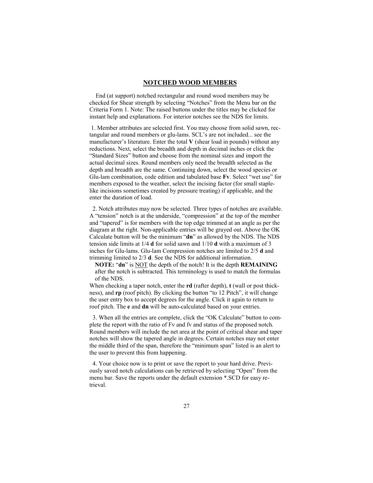#### **NOTCHED WOOD MEMBERS**

 End (at support) notched rectangular and round wood members may be checked for Shear strength by selecting "Notches" from the Menu bar on the Criteria Form 1. Note: The raised buttons under the titles may be clicked for instant help and explanations. For interior notches see the NDS for limits.

 1. Member attributes are selected first. You may choose from solid sawn, rectangular and round members or glu-lams. SCL's are not included... see the manufacturer's literature. Enter the total **V** (shear load in pounds) without any reductions. Next, select the breadth and depth in decimal inches or click the "Standard Sizes" button and choose from the nominal sizes and import the actual decimal sizes. Round members only need the breadth selected as the depth and breadth are the same. Continuing down, select the wood species or Glu-lam combination, code edition and tabulated base **Fv**. Select "wet use" for members exposed to the weather, select the incising factor (for small staplelike incisions sometimes created by pressure treating) if applicable, and the enter the duration of load.

 2. Notch attributes may now be selected. Three types of notches are available. A "tension" notch is at the underside, "compression" at the top of the member and "tapered" is for members with the top edge trimmed at an angle as per the diagram at the right. Non-applicable entries will be grayed out. Above the OK Calculate button will be the minimum "**dn**" as allowed by the NDS. The NDS tension side limits at 1/4 **d** for solid sawn and 1/10 **d** with a maximum of 3 inches for Glu-lams. Glu-lam Compression notches are limited to 2/5 **d** and trimming limited to 2/3 **d**. See the NDS for additional information.

**NOTE:** "**dn**" is NOT the depth of the notch! It is the depth **REMAINING** after the notch is subtracted. This terminology is used to match the formulas of the NDS.

When checking a taper notch, enter the **rd** (rafter depth), **t** (wall or post thickness), and **rp** (roof pitch). By clicking the button "to 12 Pitch", it will change the user entry box to accept degrees for the angle. Click it again to return to roof pitch. The **e** and **dn** will be auto-calculated based on your entries.

 3. When all the entries are complete, click the "OK Calculate" button to complete the report with the ratio of Fv and fv and status of the proposed notch. Round members will include the net area at the point of critical shear and taper notches will show the tapered angle in degrees. Certain notches may not enter the middle third of the span, therefore the "minimum span" listed is an alert to the user to prevent this from happening.

 4. Your choice now is to print or save the report to your hard drive. Previously saved notch calculations can be retrieved by selecting "Open" from the menu bar. Save the reports under the default extension \*.SCD for easy retrieval.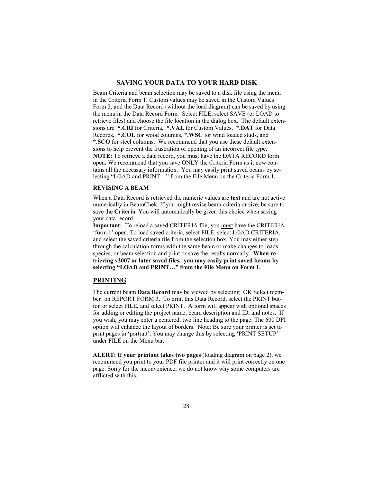#### **SAVING YOUR DATA TO YOUR HARD DISK**

Beam Criteria and beam selection may be saved to a disk file using the menu in the Criteria Form 1. Custom values may be saved in the Custom Values Form 2, and the Data Record (without the load diagram) can be saved by using the menu in the Data Record Form. Select FILE, select SAVE (or LOAD to retrieve files) and choose the file location in the dialog box. The default extensions are **\*.CRI** for Criteria, **\*.VAL** for Custom Values, **\*.DAT** for Data Records, **\*.COL** for wood columns, **\*.WSC** for wind loaded studs, and **\*.SCO** for steel columns. We recommend that you use these default extensions to help prevent the frustration of opening of an incorrect file type. **NOTE:** To retrieve a data record, you must have the DATA RECORD form open. We recommend that you save ONLY the Criteria Form as it now contains all the necessary information. You may easily print saved beams by selecting "LOAD and PRINT…" from the File Menu on the Criteria Form 1.

#### **REVISING A BEAM**

When a Data Record is retrieved the numeric values are **text** and are not active numerically in BeamChek. If you might revise beam criteria or size, be sure to save the **Criteria**. You will automatically be given this choice when saving your data record.

**Important:** To reload a saved CRITERIA file, you must have the CRITERIA 'form 1' open. To load saved criteria, select FILE, select LOAD CRITERIA, and select the saved criteria file from the selection box. You may either step through the calculation forms with the same beam or make changes to loads, species, or beam selection and print or save the results normally. **When retrieving v2007 or later saved files, you may easily print saved beams by selecting "LOAD and PRINT…" from the File Menu on Form 1.** 

#### **PRINTING**

The current beam **Data Record** may be viewed by selecting 'OK Select member' on REPORT FORM 3. To print this Data Record, select the PRINT button or select FILE, and select PRINT. A form will appear with optional spaces for adding or editing the project name, beam description and ID, and notes. If you wish, you may enter a centered, two line heading to the page. The 600 DPI option will enhance the layout of borders. Note: Be sure your printer is set to print pages in 'portrait'. You may change this by selecting 'PRINT SETUP' under FILE on the Menu bar.

**ALERT: If your printout takes two pages** (loading diagram on page 2), we recommend you print to your PDF file printer and it will print correctly on one page. Sorry for the inconvenience, we do not know why some computers are afflicted with this.